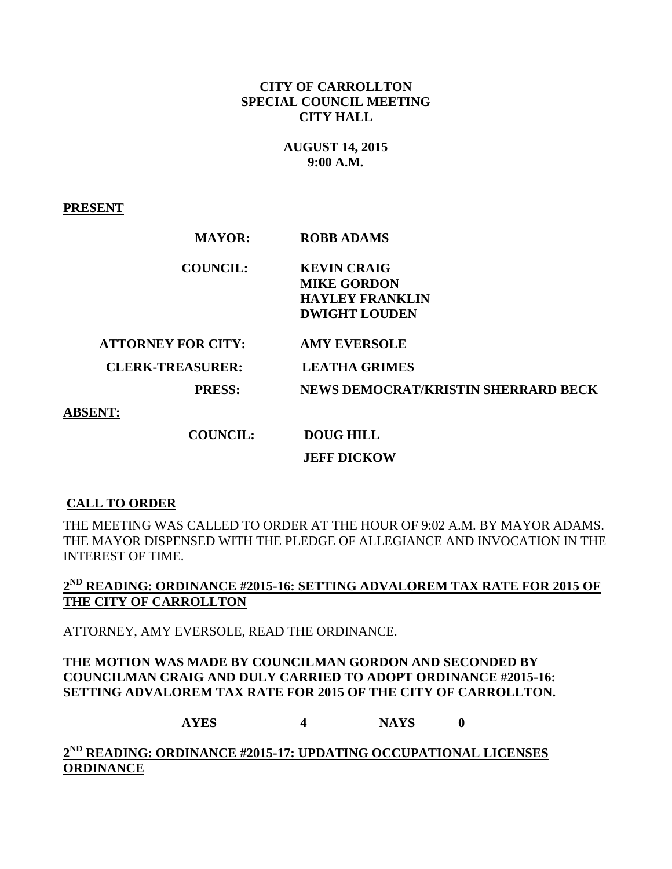## **CITY OF CARROLLTON SPECIAL COUNCIL MEETING CITY HALL**

## **AUGUST 14, 2015 9:00 A.M.**

#### **PRESENT**

| <b>MAYOR:</b>             | <b>ROBB ADAMS</b>                   |
|---------------------------|-------------------------------------|
| <b>COUNCIL:</b>           | <b>KEVIN CRAIG</b>                  |
|                           | <b>MIKE GORDON</b>                  |
|                           | <b>HAYLEY FRANKLIN</b>              |
|                           | <b>DWIGHT LOUDEN</b>                |
| <b>ATTORNEY FOR CITY:</b> | <b>AMY EVERSOLE</b>                 |
| <b>CLERK-TREASURER:</b>   | <b>LEATHA GRIMES</b>                |
| <b>PRESS:</b>             | NEWS DEMOCRAT/KRISTIN SHERRARD BECK |
| <b>ABSENT:</b>            |                                     |
| <b>COUNCIL:</b>           | <b>DOUG HILL</b>                    |
|                           | <b>JEFF DICKOW</b>                  |

#### **CALL TO ORDER**

THE MEETING WAS CALLED TO ORDER AT THE HOUR OF 9:02 A.M. BY MAYOR ADAMS. THE MAYOR DISPENSED WITH THE PLEDGE OF ALLEGIANCE AND INVOCATION IN THE INTEREST OF TIME.

# **2 ND READING: ORDINANCE #2015-16: SETTING ADVALOREM TAX RATE FOR 2015 OF THE CITY OF CARROLLTON**

ATTORNEY, AMY EVERSOLE, READ THE ORDINANCE.

#### **THE MOTION WAS MADE BY COUNCILMAN GORDON AND SECONDED BY COUNCILMAN CRAIG AND DULY CARRIED TO ADOPT ORDINANCE #2015-16: SETTING ADVALOREM TAX RATE FOR 2015 OF THE CITY OF CARROLLTON.**

**AYES 4 NAYS 0**

**2 ND READING: ORDINANCE #2015-17: UPDATING OCCUPATIONAL LICENSES ORDINANCE**